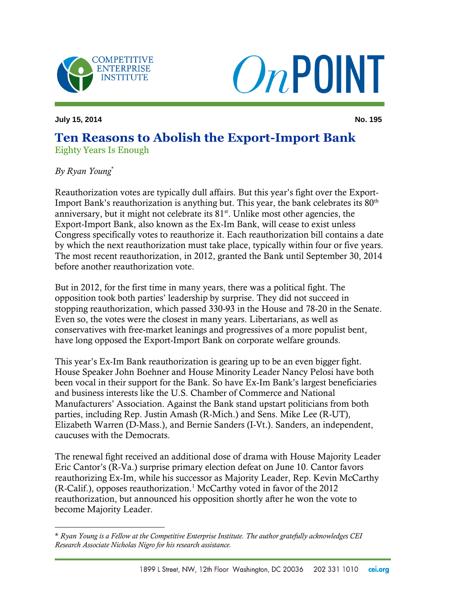

**July 15, 2014 No. 195**

 $On$ POINT

## **Ten Reasons to Abolish the Export-Import Bank** Eighty Years Is Enough

*By Ryan Young*\*

Reauthorization votes are typically dull affairs. But this year's fight over the Export-Import Bank's reauthorization is anything but. This year, the bank celebrates its 80<sup>th</sup> anniversary, but it might not celebrate its  $81<sup>st</sup>$ . Unlike most other agencies, the Export-Import Bank, also known as the Ex-Im Bank, will cease to exist unless Congress specifically votes to reauthorize it. Each reauthorization bill contains a date by which the next reauthorization must take place, typically within four or five years. The most recent reauthorization, in 2012, granted the Bank until September 30, 2014 before another reauthorization vote.

But in 2012, for the first time in many years, there was a political fight. The opposition took both parties' leadership by surprise. They did not succeed in stopping reauthorization, which passed 330-93 in the House and 78-20 in the Senate. Even so, the votes were the closest in many years. Libertarians, as well as conservatives with free-market leanings and progressives of a more populist bent, have long opposed the Export-Import Bank on corporate welfare grounds.

This year's Ex-Im Bank reauthorization is gearing up to be an even bigger fight. House Speaker John Boehner and House Minority Leader Nancy Pelosi have both been vocal in their support for the Bank. So have Ex-Im Bank's largest beneficiaries and business interests like the U.S. Chamber of Commerce and National Manufacturers' Association. Against the Bank stand upstart politicians from both parties, including Rep. Justin Amash (R-Mich.) and Sens. Mike Lee (R-UT), Elizabeth Warren (D-Mass.), and Bernie Sanders (I-Vt.). Sanders, an independent, caucuses with the Democrats.

The renewal fight received an additional dose of drama with House Majority Leader Eric Cantor's (R-Va.) surprise primary election defeat on June 10. Cantor favors reauthorizing Ex-Im, while his successor as Majority Leader, Rep. Kevin McCarthy  $(R\text{-Calif.})$ , opposes reauthorization.<sup>1</sup> McCarthy voted in favor of the 2012 reauthorization, but announced his opposition shortly after he won the vote to become Majority Leader.

 $\overline{a}$ \* *Ryan Young is a Fellow at the Competitive Enterprise Institute. The author gratefully acknowledges CEI Research Associate Nicholas Nigro for his research assistance.*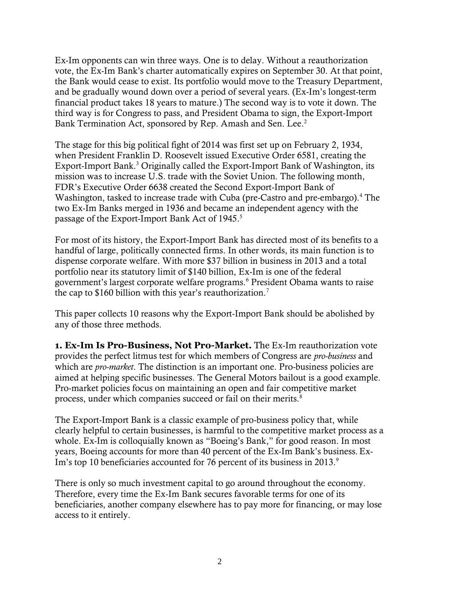Ex-Im opponents can win three ways. One is to delay. Without a reauthorization vote, the Ex-Im Bank's charter automatically expires on September 30. At that point, the Bank would cease to exist. Its portfolio would move to the Treasury Department, and be gradually wound down over a period of several years. (Ex-Im's longest-term financial product takes 18 years to mature.) The second way is to vote it down. The third way is for Congress to pass, and President Obama to sign, the Export-Import Bank Termination Act, sponsored by Rep. Amash and Sen. Lee.<sup>2</sup>

The stage for this big political fight of 2014 was first set up on February 2, 1934, when President Franklin D. Roosevelt issued Executive Order 6581, creating the Export-Import Bank.<sup>3</sup> Originally called the Export-Import Bank of Washington, its mission was to increase U.S. trade with the Soviet Union. The following month, FDR's Executive Order 6638 created the Second Export-Import Bank of Washington, tasked to increase trade with Cuba (pre-Castro and pre-embargo).<sup>4</sup> The two Ex-Im Banks merged in 1936 and became an independent agency with the passage of the Export-Import Bank Act of 1945.<sup>5</sup>

For most of its history, the Export-Import Bank has directed most of its benefits to a handful of large, politically connected firms. In other words, its main function is to dispense corporate welfare. With more \$37 billion in business in 2013 and a total portfolio near its statutory limit of \$140 billion, Ex-Im is one of the federal government's largest corporate welfare programs.<sup>6</sup> President Obama wants to raise the cap to \$160 billion with this year's reauthorization.<sup>7</sup>

This paper collects 10 reasons why the Export-Import Bank should be abolished by any of those three methods.

**1. Ex-Im Is Pro-Business, Not Pro-Market.** The Ex-Im reauthorization vote provides the perfect litmus test for which members of Congress are *pro-business* and which are *pro-market*. The distinction is an important one. Pro-business policies are aimed at helping specific businesses. The General Motors bailout is a good example. Pro-market policies focus on maintaining an open and fair competitive market process, under which companies succeed or fail on their merits.<sup>8</sup>

The Export-Import Bank is a classic example of pro-business policy that, while clearly helpful to certain businesses, is harmful to the competitive market process as a whole. Ex-Im is colloquially known as "Boeing's Bank," for good reason. In most years, Boeing accounts for more than 40 percent of the Ex-Im Bank's business.Ex-Im's top 10 beneficiaries accounted for 76 percent of its business in 2013.<sup>9</sup>

There is only so much investment capital to go around throughout the economy. Therefore, every time the Ex-Im Bank secures favorable terms for one of its beneficiaries, another company elsewhere has to pay more for financing, or may lose access to it entirely.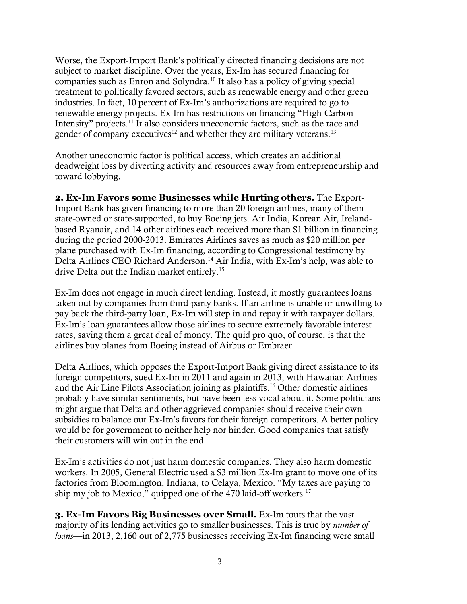Worse, the Export-Import Bank's politically directed financing decisions are not subject to market discipline. Over the years, Ex-Im has secured financing for companies such as Enron and Solyndra.<sup>10</sup> It also has a policy of giving special treatment to politically favored sectors, such as renewable energy and other green industries. In fact, 10 percent of Ex-Im's authorizations are required to go to renewable energy projects. Ex-Im has restrictions on financing "High-Carbon Intensity" projects.<sup>11</sup> It also considers uneconomic factors, such as the race and gender of company executives<sup>12</sup> and whether they are military veterans.<sup>13</sup>

Another uneconomic factor is political access, which creates an additional deadweight loss by diverting activity and resources away from entrepreneurship and toward lobbying.

**2. Ex-Im Favors some Businesses while Hurting others.** The Export-Import Bank has given financing to more than 20 foreign airlines, many of them state-owned or state-supported, to buy Boeing jets. Air India, Korean Air, Irelandbased Ryanair, and 14 other airlines each received more than \$1 billion in financing during the period 2000-2013. Emirates Airlines saves as much as \$20 million per plane purchased with Ex-Im financing, according to Congressional testimony by Delta Airlines CEO Richard Anderson.<sup>14</sup> Air India, with Ex-Im's help, was able to drive Delta out the Indian market entirely.<sup>15</sup>

Ex-Im does not engage in much direct lending. Instead, it mostly guarantees loans taken out by companies from third-party banks. If an airline is unable or unwilling to pay back the third-party loan, Ex-Im will step in and repay it with taxpayer dollars. Ex-Im's loan guarantees allow those airlines to secure extremely favorable interest rates, saving them a great deal of money. The quid pro quo, of course, is that the airlines buy planes from Boeing instead of Airbus or Embraer.

Delta Airlines, which opposes the Export-Import Bank giving direct assistance to its foreign competitors, sued Ex-Im in 2011 and again in 2013, with Hawaiian Airlines and the Air Line Pilots Association joining as plaintiffs.<sup>16</sup> Other domestic airlines probably have similar sentiments, but have been less vocal about it. Some politicians might argue that Delta and other aggrieved companies should receive their own subsidies to balance out Ex-Im's favors for their foreign competitors. A better policy would be for government to neither help nor hinder. Good companies that satisfy their customers will win out in the end.

Ex-Im's activities do not just harm domestic companies. They also harm domestic workers. In 2005, General Electric used a \$3 million Ex-Im grant to move one of its factories from Bloomington, Indiana, to Celaya, Mexico. "My taxes are paying to ship my job to Mexico," quipped one of the 470 laid-off workers.<sup>17</sup>

**3. Ex-Im Favors Big Businesses over Small.** Ex-Im touts that the vast majority of its lending activities go to smaller businesses. This is true by *number of loans*—in 2013, 2,160 out of 2,775 businesses receiving Ex-Im financing were small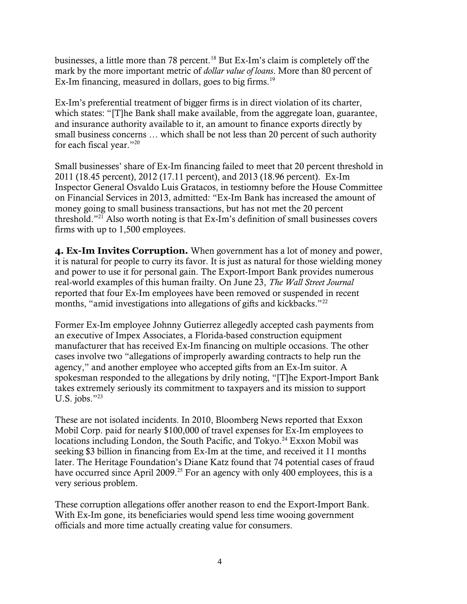businesses, a little more than 78 percent.<sup>18</sup> But Ex-Im's claim is completely off the mark by the more important metric of *dollar value of loans*. More than 80 percent of Ex-Im financing, measured in dollars, goes to big firms.<sup>19</sup>

Ex-Im's preferential treatment of bigger firms is in direct violation of its charter, which states: "[T]he Bank shall make available, from the aggregate loan, guarantee, and insurance authority available to it, an amount to finance exports directly by small business concerns … which shall be not less than 20 percent of such authority for each fiscal year."<sup>20</sup>

Small businesses' share of Ex-Im financing failed to meet that 20 percent threshold in 2011 (18.45 percent), 2012 (17.11 percent), and 2013 (18.96 percent). Ex-Im Inspector General Osvaldo Luis Gratacos, in testiomny before the House Committee on Financial Services in 2013, admitted: "Ex-Im Bank has increased the amount of money going to small business transactions, but has not met the 20 percent threshold."<sup>21</sup> Also worth noting is that Ex-Im's definition of small businesses covers firms with up to 1,500 employees.

**4. Ex-Im Invites Corruption.** When government has a lot of money and power, it is natural for people to curry its favor. It is just as natural for those wielding money and power to use it for personal gain. The Export-Import Bank provides numerous real-world examples of this human frailty. On June 23, *The Wall Street Journal* reported that four Ex-Im employees have been removed or suspended in recent months, "amid investigations into allegations of gifts and kickbacks."<sup>22</sup>

Former Ex-Im employee Johnny Gutierrez allegedly accepted cash payments from an executive of Impex Associates, a Florida-based construction equipment manufacturer that has received Ex-Im financing on multiple occasions. The other cases involve two "allegations of improperly awarding contracts to help run the agency," and another employee who accepted gifts from an Ex-Im suitor. A spokesman responded to the allegations by drily noting, "[T]he Export-Import Bank takes extremely seriously its commitment to taxpayers and its mission to support U.S. jobs." $23$ 

These are not isolated incidents. In 2010, Bloomberg News reported that Exxon Mobil Corp. paid for nearly \$100,000 of travel expenses for Ex-Im employees to locations including London, the South Pacific, and Tokyo.<sup>24</sup> Exxon Mobil was seeking \$3 billion in financing from Ex-Im at the time, and received it 11 months later. The Heritage Foundation's Diane Katz found that 74 potential cases of fraud have occurred since April 2009.<sup>25</sup> For an agency with only 400 employees, this is a very serious problem.

These corruption allegations offer another reason to end the Export-Import Bank. With Ex-Im gone, its beneficiaries would spend less time wooing government officials and more time actually creating value for consumers.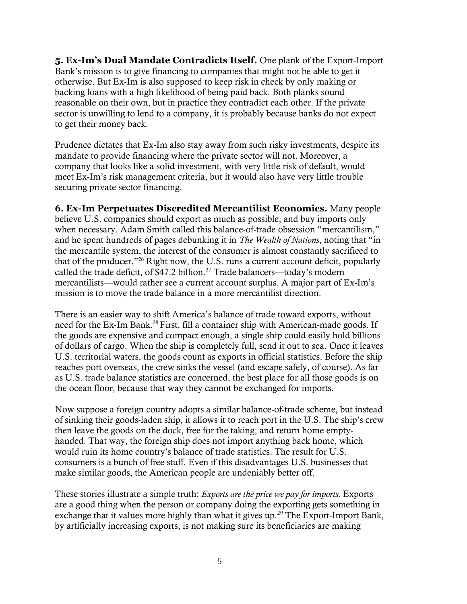**5. Ex-Im's Dual Mandate Contradicts Itself.** One plank of the Export-Import Bank's mission is to give financing to companies that might not be able to get it otherwise. But Ex-Im is also supposed to keep risk in check by only making or backing loans with a high likelihood of being paid back. Both planks sound reasonable on their own, but in practice they contradict each other. If the private sector is unwilling to lend to a company, it is probably because banks do not expect to get their money back.

Prudence dictates that Ex-Im also stay away from such risky investments, despite its mandate to provide financing where the private sector will not. Moreover, a company that looks like a solid investment, with very little risk of default, would meet Ex-Im's risk management criteria, but it would also have very little trouble securing private sector financing.

**6. Ex-Im Perpetuates Discredited Mercantilist Economics.** Many people believe U.S. companies should export as much as possible, and buy imports only when necessary. Adam Smith called this balance-of-trade obsession "mercantilism," and he spent hundreds of pages debunking it in *The Wealth of Nations*, noting that "in the mercantile system, the interest of the consumer is almost constantly sacrificed to that of the producer."<sup>26</sup> Right now, the U.S. runs a current account deficit, popularly called the trade deficit, of \$47.2 billion.<sup>27</sup> Trade balancers—today's modern mercantilists—would rather see a current account surplus. A major part of Ex-Im's mission is to move the trade balance in a more mercantilist direction.

There is an easier way to shift America's balance of trade toward exports, without need for the Ex-Im Bank.<sup>28</sup> First, fill a container ship with American-made goods. If the goods are expensive and compact enough, a single ship could easily hold billions of dollars of cargo. When the ship is completely full, send it out to sea. Once it leaves U.S. territorial waters, the goods count as exports in official statistics. Before the ship reaches port overseas, the crew sinks the vessel (and escape safely, of course). As far as U.S. trade balance statistics are concerned, the best place for all those goods is on the ocean floor, because that way they cannot be exchanged for imports.

Now suppose a foreign country adopts a similar balance-of-trade scheme, but instead of sinking their goods-laden ship, it allows it to reach port in the U.S. The ship's crew then leave the goods on the dock, free for the taking, and return home emptyhanded. That way, the foreign ship does not import anything back home, which would ruin its home country's balance of trade statistics. The result for U.S. consumers is a bunch of free stuff. Even if this disadvantages U.S. businesses that make similar goods, the American people are undeniably better off.

These stories illustrate a simple truth: *Exports are the price we pay for imports.* Exports are a good thing when the person or company doing the exporting gets something in exchange that it values more highly than what it gives up.<sup>29</sup> The Export-Import Bank, by artificially increasing exports, is not making sure its beneficiaries are making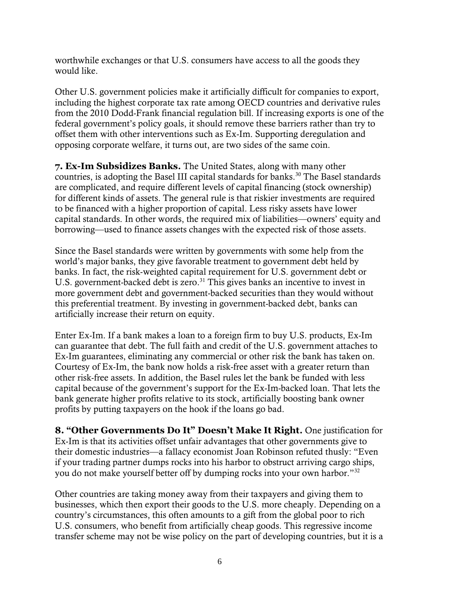worthwhile exchanges or that U.S. consumers have access to all the goods they would like.

Other U.S. government policies make it artificially difficult for companies to export, including the highest corporate tax rate among OECD countries and derivative rules from the 2010 Dodd-Frank financial regulation bill. If increasing exports is one of the federal government's policy goals, it should remove these barriers rather than try to offset them with other interventions such as Ex-Im. Supporting deregulation and opposing corporate welfare, it turns out, are two sides of the same coin.

**7. Ex-Im Subsidizes Banks.** The United States, along with many other countries, is adopting the Basel III capital standards for banks.<sup>30</sup> The Basel standards are complicated, and require different levels of capital financing (stock ownership) for different kinds of assets. The general rule is that riskier investments are required to be financed with a higher proportion of capital. Less risky assets have lower capital standards. In other words, the required mix of liabilities—owners' equity and borrowing—used to finance assets changes with the expected risk of those assets.

Since the Basel standards were written by governments with some help from the world's major banks, they give favorable treatment to government debt held by banks. In fact, the risk-weighted capital requirement for U.S. government debt or U.S. government-backed debt is zero.<sup>31</sup> This gives banks an incentive to invest in more government debt and government-backed securities than they would without this preferential treatment. By investing in government-backed debt, banks can artificially increase their return on equity.

Enter Ex-Im. If a bank makes a loan to a foreign firm to buy U.S. products, Ex-Im can guarantee that debt. The full faith and credit of the U.S. government attaches to Ex-Im guarantees, eliminating any commercial or other risk the bank has taken on. Courtesy of Ex-Im, the bank now holds a risk-free asset with a greater return than other risk-free assets. In addition, the Basel rules let the bank be funded with less capital because of the government's support for the Ex-Im-backed loan. That lets the bank generate higher profits relative to its stock, artificially boosting bank owner profits by putting taxpayers on the hook if the loans go bad.

**8. "Other Governments Do It" Doesn't Make It Right.** One justification for Ex-Im is that its activities offset unfair advantages that other governments give to their domestic industries—a fallacy economist Joan Robinson refuted thusly: "Even if your trading partner dumps rocks into his harbor to obstruct arriving cargo ships, you do not make yourself better off by dumping rocks into your own harbor."<sup>32</sup>

Other countries are taking money away from their taxpayers and giving them to businesses, which then export their goods to the U.S. more cheaply. Depending on a country's circumstances, this often amounts to a gift from the global poor to rich U.S. consumers, who benefit from artificially cheap goods. This regressive income transfer scheme may not be wise policy on the part of developing countries, but it is a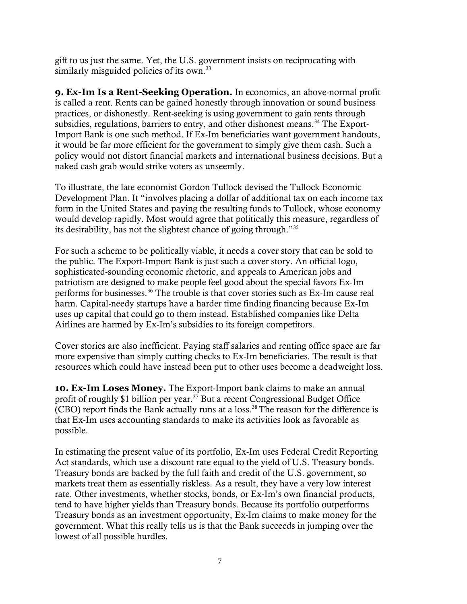gift to us just the same. Yet, the U.S. government insists on reciprocating with similarly misguided policies of its own.<sup>33</sup>

**9. Ex-Im Is a Rent-Seeking Operation.** In economics, an above-normal profit is called a rent. Rents can be gained honestly through innovation or sound business practices, or dishonestly. Rent-seeking is using government to gain rents through subsidies, regulations, barriers to entry, and other dishonest means.<sup>34</sup> The Export-Import Bank is one such method. If Ex-Im beneficiaries want government handouts, it would be far more efficient for the government to simply give them cash. Such a policy would not distort financial markets and international business decisions. But a naked cash grab would strike voters as unseemly.

To illustrate, the late economist Gordon Tullock devised the Tullock Economic Development Plan. It "involves placing a dollar of additional tax on each income tax form in the United States and paying the resulting funds to Tullock, whose economy would develop rapidly. Most would agree that politically this measure, regardless of its desirability, has not the slightest chance of going through." 35

For such a scheme to be politically viable, it needs a cover story that can be sold to the public. The Export-Import Bank is just such a cover story. An official logo, sophisticated-sounding economic rhetoric, and appeals to American jobs and patriotism are designed to make people feel good about the special favors Ex-Im performs for businesses.<sup>36</sup> The trouble is that cover stories such as Ex-Im cause real harm. Capital-needy startups have a harder time finding financing because Ex-Im uses up capital that could go to them instead. Established companies like Delta Airlines are harmed by Ex-Im's subsidies to its foreign competitors.

Cover stories are also inefficient. Paying staff salaries and renting office space are far more expensive than simply cutting checks to Ex-Im beneficiaries. The result is that resources which could have instead been put to other uses become a deadweight loss.

**10. Ex-Im Loses Money.** The Export-Import bank claims to make an annual profit of roughly \$1 billion per year.<sup>37</sup> But a recent Congressional Budget Office (CBO) report finds the Bank actually runs at a loss.<sup>38</sup> The reason for the difference is that Ex-Im uses accounting standards to make its activities look as favorable as possible.

In estimating the present value of its portfolio, Ex-Im uses Federal Credit Reporting Act standards, which use a discount rate equal to the yield of U.S. Treasury bonds. Treasury bonds are backed by the full faith and credit of the U.S. government, so markets treat them as essentially riskless. As a result, they have a very low interest rate. Other investments, whether stocks, bonds, or Ex-Im's own financial products, tend to have higher yields than Treasury bonds. Because its portfolio outperforms Treasury bonds as an investment opportunity, Ex-Im claims to make money for the government. What this really tells us is that the Bank succeeds in jumping over the lowest of all possible hurdles.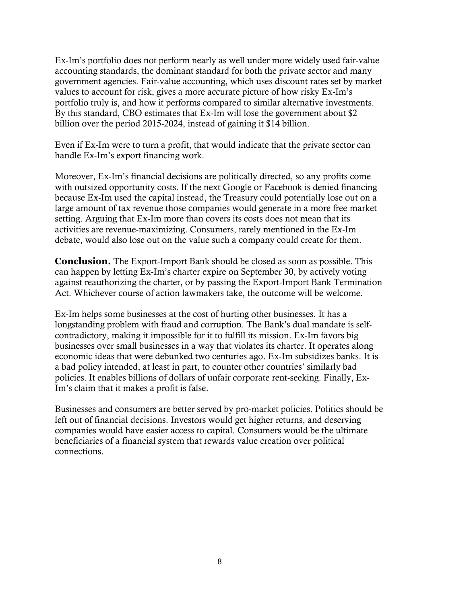Ex-Im's portfolio does not perform nearly as well under more widely used fair-value accounting standards, the dominant standard for both the private sector and many government agencies. Fair-value accounting, which uses discount rates set by market values to account for risk, gives a more accurate picture of how risky Ex-Im's portfolio truly is, and how it performs compared to similar alternative investments. By this standard, CBO estimates that Ex-Im will lose the government about \$2 billion over the period 2015-2024, instead of gaining it \$14 billion.

Even if Ex-Im were to turn a profit, that would indicate that the private sector can handle Ex-Im's export financing work.

Moreover, Ex-Im's financial decisions are politically directed, so any profits come with outsized opportunity costs. If the next Google or Facebook is denied financing because Ex-Im used the capital instead, the Treasury could potentially lose out on a large amount of tax revenue those companies would generate in a more free market setting. Arguing that Ex-Im more than covers its costs does not mean that its activities are revenue-maximizing. Consumers, rarely mentioned in the Ex-Im debate, would also lose out on the value such a company could create for them.

**Conclusion.** The Export-Import Bank should be closed as soon as possible. This can happen by letting Ex-Im's charter expire on September 30, by actively voting against reauthorizing the charter, or by passing the Export-Import Bank Termination Act. Whichever course of action lawmakers take, the outcome will be welcome.

Ex-Im helps some businesses at the cost of hurting other businesses. It has a longstanding problem with fraud and corruption. The Bank's dual mandate is selfcontradictory, making it impossible for it to fulfill its mission. Ex-Im favors big businesses over small businesses in a way that violates its charter. It operates along economic ideas that were debunked two centuries ago. Ex-Im subsidizes banks. It is a bad policy intended, at least in part, to counter other countries' similarly bad policies. It enables billions of dollars of unfair corporate rent-seeking. Finally, Ex-Im's claim that it makes a profit is false.

Businesses and consumers are better served by pro-market policies. Politics should be left out of financial decisions. Investors would get higher returns, and deserving companies would have easier access to capital. Consumers would be the ultimate beneficiaries of a financial system that rewards value creation over political connections.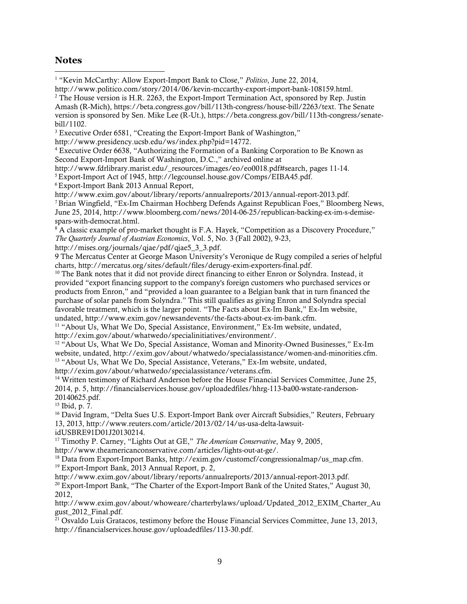## **Notes**

l <sup>1</sup> "Kevin McCarthy: Allow Export-Import Bank to Close," *Politico*, June 22, 2014,

http://www.politico.com/story/2014/06/kevin-mccarthy-export-import-bank-108159.html.

 $2$  The House version is H.R. 2263, the Export-Import Termination Act, sponsored by Rep. Justin

Amash (R-Mich), https://beta.congress.gov/bill/113th-congress/house-bill/2263/text. The Senate version is sponsored by Sen. Mike Lee (R-Ut.), https://beta.congress.gov/bill/113th-congress/senatebill/1102.

<sup>3</sup> Executive Order 6581, "Creating the Export-Import Bank of Washington,"

http://www.presidency.ucsb.edu/ws/index.php?pid=14772.

<sup>4</sup> Executive Order 6638, "Authorizing the Formation of a Banking Corporation to Be Known as Second Export-Import Bank of Washington, D.C.," archived online at

http://www.fdrlibrary.marist.edu/\_resources/images/eo/eo0018.pdf#search, pages 11-14.

<sup>5</sup>Export-Import Act of 1945, http://legcounsel.house.gov/Comps/EIBA45.pdf.

<sup>6</sup>Export-Import Bank 2013 Annual Report,

http://www.exim.gov/about/library/reports/annualreports/2013/annual-report-2013.pdf.

<sup>7</sup>Brian Wingfield, "Ex-Im Chairman Hochberg Defends Against Republican Foes," Bloomberg News, June 25, 2014, http://www.bloomberg.com/news/2014-06-25/republican-backing-ex-im-s-demisespars-with-democrat.html.

<sup>8</sup> A classic example of pro-market thought is F.A. Hayek, "Competition as a Discovery Procedure," *The Quarterly Journal of Austrian Economics*, Vol. 5, No. 3 (Fall 2002), 9-23,

http://mises.org/journals/qjae/pdf/qjae5\_3\_3.pdf.

9 The Mercatus Center at George Mason University's Veronique de Rugy compiled a series of helpful charts, http://mercatus.org/sites/default/files/derugy-exim-exporters-final.pdf.

<sup>10</sup> The Bank notes that it did not provide direct financing to either Enron or Solyndra. Instead, it provided "export financing support to the company's foreign customers who purchased services or products from Enron," and "provided a loan guarantee to a Belgian bank that in turn financed the purchase of solar panels from Solyndra." This still qualifies as giving Enron and Solyndra special favorable treatment, which is the larger point. "The Facts about Ex-Im Bank," Ex-Im website, undated, http://www.exim.gov/newsandevents/the-facts-about-ex-im-bank.cfm.

<sup>11</sup> "About Us, What We Do, Special Assistance, Environment," Ex-Im website, undated,

http://exim.gov/about/whatwedo/specialinitiatives/environment/.

 $12$  "About Us, What We Do, Special Assistance, Woman and Minority-Owned Businesses," Ex-Im website, undated, http://exim.gov/about/whatwedo/specialassistance/women-and-minorities.cfm. <sup>13</sup> "About Us, What We Do, Special Assistance, Veterans," Ex-Im website, undated, http://exim.gov/about/whatwedo/specialassistance/veterans.cfm.

<sup>14</sup> Written testimony of Richard Anderson before the House Financial Services Committee, June 25, 2014, p. 5, http://financialservices.house.gov/uploadedfiles/hhrg-113-ba00-wstate-randerson-20140625.pdf.

<sup>15</sup> Ibid, p. 7.

<sup>16</sup> David Ingram, "Delta Sues U.S. Export-Import Bank over Aircraft Subsidies," Reuters, February 13, 2013, http://www.reuters.com/article/2013/02/14/us-usa-delta-lawsuitidUSBRE91D01J20130214.

<sup>17</sup> Timothy P. Carney, "Lights Out at GE," *The American Conservative*, May 9, 2005,

http://www.theamericanconservative.com/articles/lights-out-at-ge/.

<sup>18</sup> Data from Export-Import Banks, http://exim.gov/customcf/congressionalmap/us\_map.cfm. <sup>19</sup> Export-Import Bank, 2013 Annual Report, p. 2,

http://www.exim.gov/about/library/reports/annualreports/2013/annual-report-2013.pdf.  $^{20}$  Export-Import Bank, "The Charter of the Export-Import Bank of the United States," August 30, 2012,

http://www.exim.gov/about/whoweare/charterbylaws/upload/Updated\_2012\_EXIM\_Charter\_Au gust\_2012\_Final.pdf.

<sup>21</sup> Osvaldo Luis Gratacos, testimony before the House Financial Services Committee, June 13, 2013, http://financialservices.house.gov/uploadedfiles/113-30.pdf.